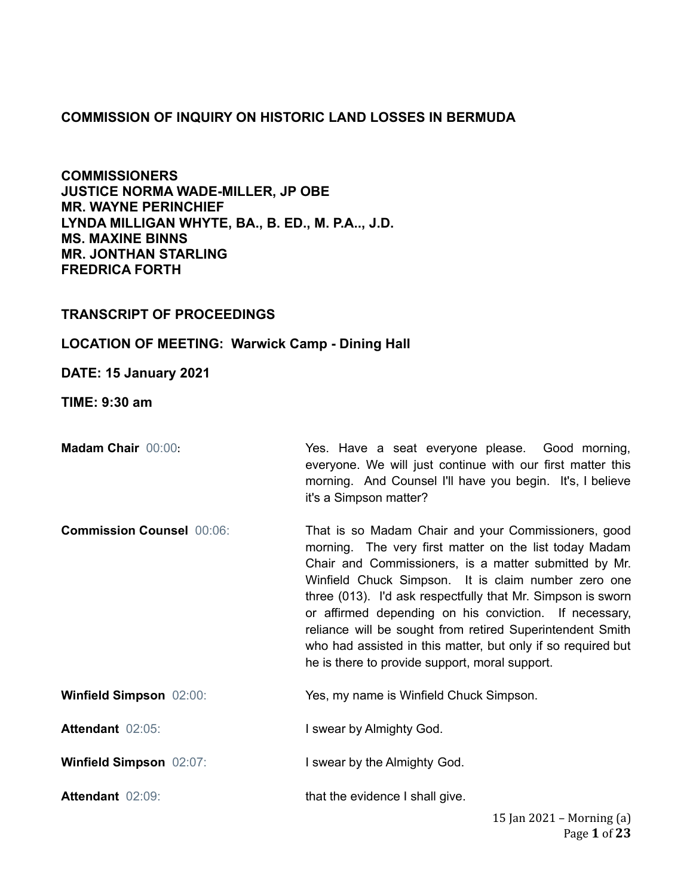## **COMMISSION OF INQUIRY ON HISTORIC LAND LOSSES IN BERMUDA**

**COMMISSIONERS JUSTICE NORMA WADE-MILLER, JP OBE MR. WAYNE PERINCHIEF LYNDA MILLIGAN WHYTE, BA., B. ED., M. P.A.., J.D. MS. MAXINE BINNS MR. JONTHAN STARLING FREDRICA FORTH**

## **TRANSCRIPT OF PROCEEDINGS**

## **LOCATION OF MEETING: Warwick Camp - Dining Hall**

**DATE: 15 January 2021**

**TIME: 9:30 am**

**Madam Chair** 00:00: **Wes. Have a seat everyone please.** Good morning, everyone. We will just continue with our first matter this morning. And Counsel I'll have you begin. It's, I believe it's a Simpson matter?

**Commission Counsel** 00:06: That is so Madam Chair and your Commissioners, good morning. The very first matter on the list today Madam Chair and Commissioners, is a matter submitted by Mr. Winfield Chuck Simpson. It is claim number zero one three (013). I'd ask respectfully that Mr. Simpson is sworn or affirmed depending on his conviction. If necessary, reliance will be sought from retired Superintendent Smith who had assisted in this matter, but only if so required but he is there to provide support, moral support.

**Winfield Simpson** 02:00: Yes, my name is Winfield Chuck Simpson.

**Attendant** 02:05: **I swear by Almighty God.** 

**Winfield Simpson** 02:07: **I** swear by the Almighty God.

**Attendant** 02:09: **that the evidence I shall give.**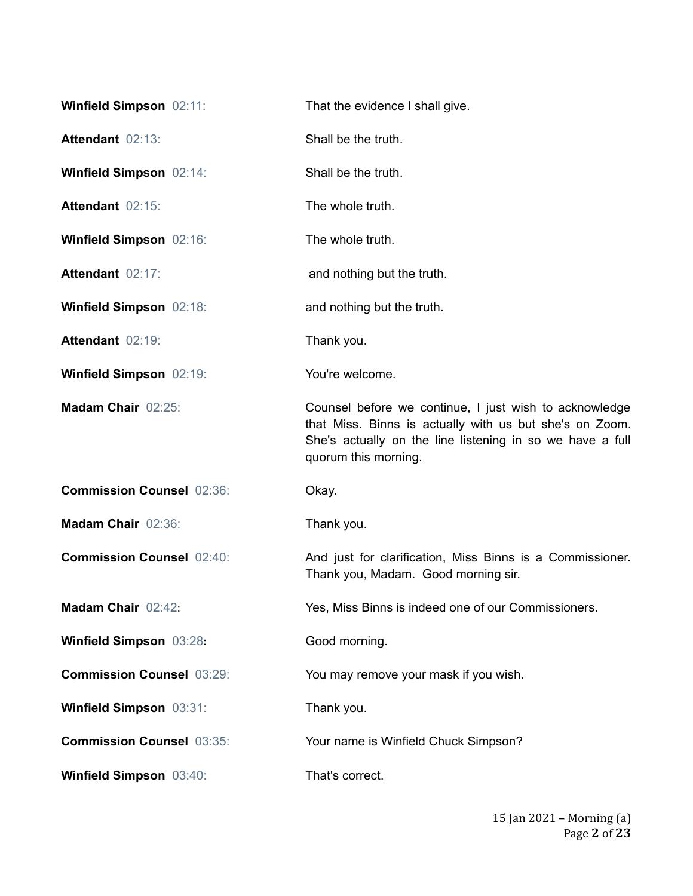| <b>Winfield Simpson 02:11:</b>   | That the evidence I shall give.                                                                                                                                                                        |
|----------------------------------|--------------------------------------------------------------------------------------------------------------------------------------------------------------------------------------------------------|
| Attendant 02:13:                 | Shall be the truth.                                                                                                                                                                                    |
| Winfield Simpson 02:14:          | Shall be the truth.                                                                                                                                                                                    |
| Attendant 02:15:                 | The whole truth.                                                                                                                                                                                       |
| Winfield Simpson 02:16:          | The whole truth.                                                                                                                                                                                       |
| Attendant 02:17:                 | and nothing but the truth.                                                                                                                                                                             |
| Winfield Simpson 02:18:          | and nothing but the truth.                                                                                                                                                                             |
| Attendant 02:19:                 | Thank you.                                                                                                                                                                                             |
| Winfield Simpson 02:19:          | You're welcome.                                                                                                                                                                                        |
| Madam Chair 02:25:               | Counsel before we continue, I just wish to acknowledge<br>that Miss. Binns is actually with us but she's on Zoom.<br>She's actually on the line listening in so we have a full<br>quorum this morning. |
| <b>Commission Counsel 02:36:</b> | Okay.                                                                                                                                                                                                  |
| Madam Chair 02:36:               | Thank you.                                                                                                                                                                                             |
| <b>Commission Counsel 02:40:</b> | And just for clarification, Miss Binns is a Commissioner.<br>Thank you, Madam. Good morning sir.                                                                                                       |
| Madam Chair 02:42:               | Yes, Miss Binns is indeed one of our Commissioners.                                                                                                                                                    |
| Winfield Simpson 03:28:          | Good morning.                                                                                                                                                                                          |
| <b>Commission Counsel 03:29:</b> | You may remove your mask if you wish.                                                                                                                                                                  |
| Winfield Simpson 03:31:          | Thank you.                                                                                                                                                                                             |
| <b>Commission Counsel 03:35:</b> | Your name is Winfield Chuck Simpson?                                                                                                                                                                   |
| <b>Winfield Simpson 03:40:</b>   | That's correct.                                                                                                                                                                                        |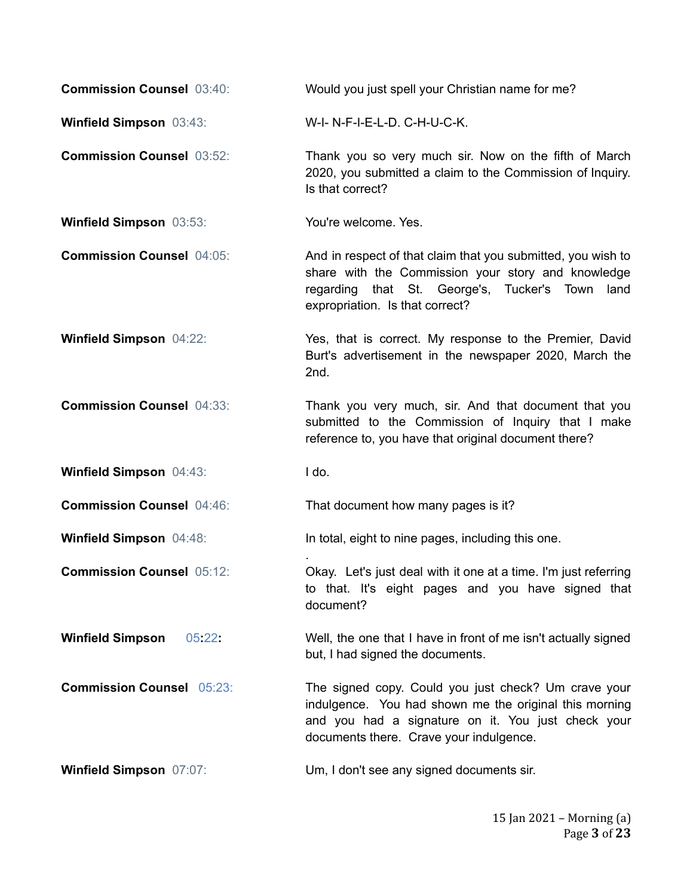| <b>Commission Counsel 03:40:</b>  | Would you just spell your Christian name for me?                                                                                                                                                                |
|-----------------------------------|-----------------------------------------------------------------------------------------------------------------------------------------------------------------------------------------------------------------|
| Winfield Simpson 03:43:           | W-I-N-F-I-E-L-D. C-H-U-C-K.                                                                                                                                                                                     |
| <b>Commission Counsel 03:52:</b>  | Thank you so very much sir. Now on the fifth of March<br>2020, you submitted a claim to the Commission of Inquiry.<br>Is that correct?                                                                          |
| <b>Winfield Simpson 03:53:</b>    | You're welcome. Yes.                                                                                                                                                                                            |
| <b>Commission Counsel 04:05:</b>  | And in respect of that claim that you submitted, you wish to<br>share with the Commission your story and knowledge<br>regarding that St. George's, Tucker's Town<br>land<br>expropriation. Is that correct?     |
| Winfield Simpson 04:22:           | Yes, that is correct. My response to the Premier, David<br>Burt's advertisement in the newspaper 2020, March the<br>2nd.                                                                                        |
| <b>Commission Counsel 04:33:</b>  | Thank you very much, sir. And that document that you<br>submitted to the Commission of Inquiry that I make<br>reference to, you have that original document there?                                              |
| Winfield Simpson 04:43:           | I do.                                                                                                                                                                                                           |
| <b>Commission Counsel 04:46:</b>  | That document how many pages is it?                                                                                                                                                                             |
| Winfield Simpson 04:48:           | In total, eight to nine pages, including this one.                                                                                                                                                              |
| <b>Commission Counsel 05:12:</b>  | Okay. Let's just deal with it one at a time. I'm just referring<br>to that. It's eight pages and you have signed that<br>document?                                                                              |
| <b>Winfield Simpson</b><br>05:22: | Well, the one that I have in front of me isn't actually signed<br>but, I had signed the documents.                                                                                                              |
| <b>Commission Counsel 05:23:</b>  | The signed copy. Could you just check? Um crave your<br>indulgence. You had shown me the original this morning<br>and you had a signature on it. You just check your<br>documents there. Crave your indulgence. |
| Winfield Simpson 07:07:           | Um, I don't see any signed documents sir.                                                                                                                                                                       |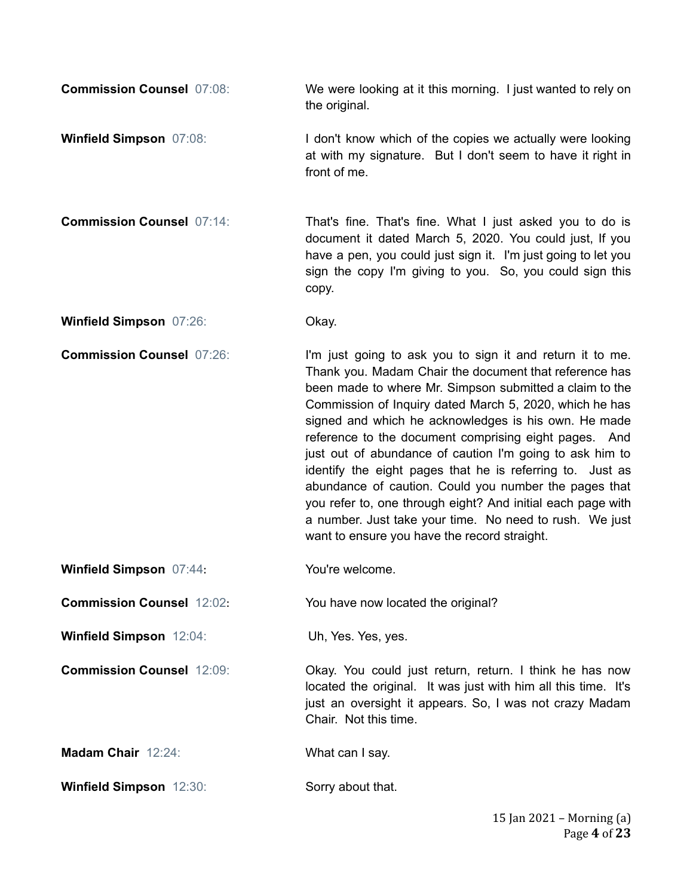**Commission Counsel** 07:08: We were looking at it this morning. I just wanted to rely on the original.

- **Winfield Simpson** 07:08: I don't know which of the copies we actually were looking at with my signature. But I don't seem to have it right in front of me.
- **Commission Counsel** 07:14: That's fine. That's fine. What I just asked you to do is document it dated March 5, 2020. You could just, If you have a pen, you could just sign it. I'm just going to let you sign the copy I'm giving to you. So, you could sign this copy.

**Winfield Simpson** 07:26: Okay.

**Commission Counsel** 07:26: I'm just going to ask you to sign it and return it to me. Thank you. Madam Chair the document that reference has been made to where Mr. Simpson submitted a claim to the Commission of Inquiry dated March 5, 2020, which he has signed and which he acknowledges is his own. He made reference to the document comprising eight pages. And just out of abundance of caution I'm going to ask him to identify the eight pages that he is referring to. Just as abundance of caution. Could you number the pages that you refer to, one through eight? And initial each page with a number. Just take your time. No need to rush. We just want to ensure you have the record straight.

**Winfield Simpson** 07:44: You're welcome.

**Commission Counsel** 12:02: You have now located the original?

**Winfield Simpson** 12:04: Uh, Yes. Yes, yes.

**Commission Counsel** 12:09: **Commission Counsel** 12:09: **Okay.** You could just return, return. I think he has now

**Madam Chair** 12:24: What can I say.

**Winfield Simpson** 12:30: Sorry about that.

Chair. Not this time.

located the original. It was just with him all this time. It's just an oversight it appears. So, I was not crazy Madam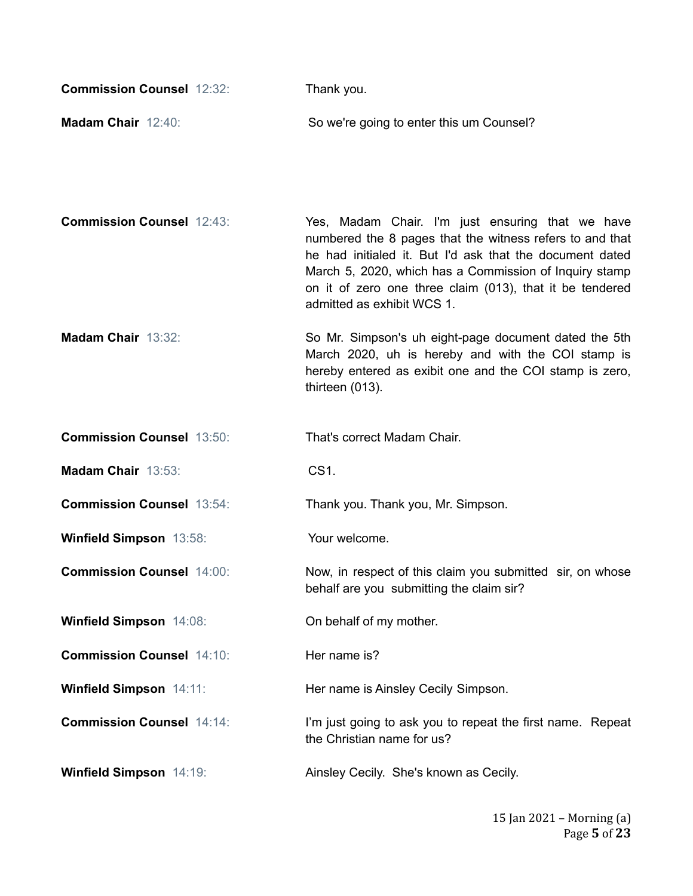| <b>Commission Counsel 12:32:</b> | Thank you.                                                                                                                                                                                                                                                                                                                   |
|----------------------------------|------------------------------------------------------------------------------------------------------------------------------------------------------------------------------------------------------------------------------------------------------------------------------------------------------------------------------|
| Madam Chair 12:40:               | So we're going to enter this um Counsel?                                                                                                                                                                                                                                                                                     |
| <b>Commission Counsel 12:43:</b> | Yes, Madam Chair. I'm just ensuring that we have<br>numbered the 8 pages that the witness refers to and that<br>he had initialed it. But I'd ask that the document dated<br>March 5, 2020, which has a Commission of Inquiry stamp<br>on it of zero one three claim (013), that it be tendered<br>admitted as exhibit WCS 1. |
| Madam Chair 13:32:               | So Mr. Simpson's uh eight-page document dated the 5th<br>March 2020, uh is hereby and with the COI stamp is<br>hereby entered as exibit one and the COI stamp is zero,<br>thirteen (013).                                                                                                                                    |
| <b>Commission Counsel 13:50:</b> | That's correct Madam Chair.                                                                                                                                                                                                                                                                                                  |
| Madam Chair 13:53:               | CS1.                                                                                                                                                                                                                                                                                                                         |
| <b>Commission Counsel 13:54:</b> | Thank you. Thank you, Mr. Simpson.                                                                                                                                                                                                                                                                                           |
| Winfield Simpson 13:58:          | Your welcome.                                                                                                                                                                                                                                                                                                                |
| <b>Commission Counsel 14:00:</b> | Now, in respect of this claim you submitted sir, on whose<br>behalf are you submitting the claim sir?                                                                                                                                                                                                                        |
| Winfield Simpson 14:08:          | On behalf of my mother.                                                                                                                                                                                                                                                                                                      |
| <b>Commission Counsel 14:10:</b> | Her name is?                                                                                                                                                                                                                                                                                                                 |
| <b>Winfield Simpson 14:11:</b>   | Her name is Ainsley Cecily Simpson.                                                                                                                                                                                                                                                                                          |
| <b>Commission Counsel 14:14:</b> | I'm just going to ask you to repeat the first name. Repeat<br>the Christian name for us?                                                                                                                                                                                                                                     |
| <b>Winfield Simpson 14:19:</b>   | Ainsley Cecily. She's known as Cecily.                                                                                                                                                                                                                                                                                       |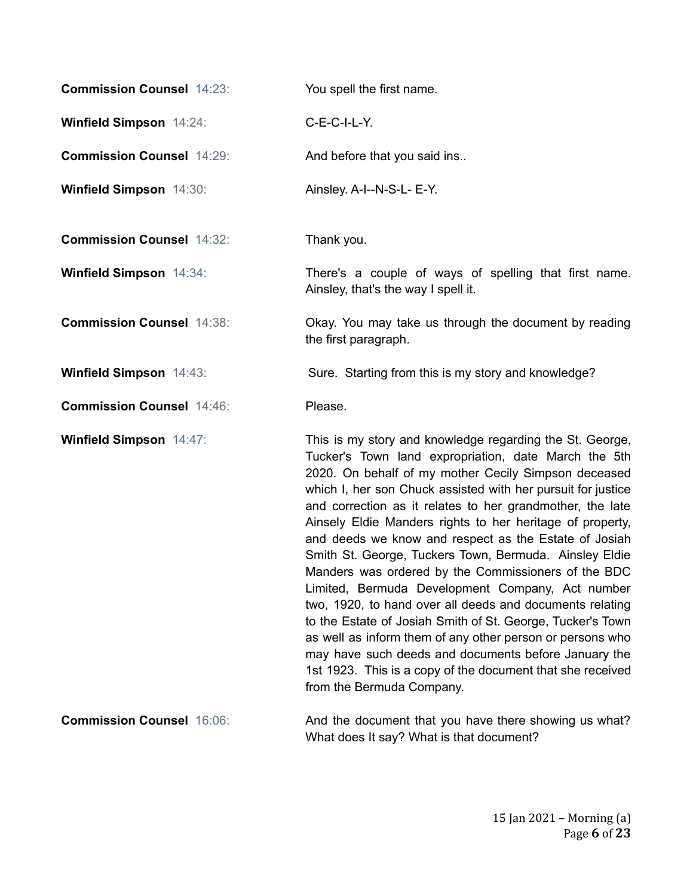| <b>Commission Counsel 14:23:</b> | You spell the first name.                                                                                                                                                                                                                                                                                                                                                                                                                                                                                                                                                                                                                                                                                                                                                                                                                                                                                                                  |
|----------------------------------|--------------------------------------------------------------------------------------------------------------------------------------------------------------------------------------------------------------------------------------------------------------------------------------------------------------------------------------------------------------------------------------------------------------------------------------------------------------------------------------------------------------------------------------------------------------------------------------------------------------------------------------------------------------------------------------------------------------------------------------------------------------------------------------------------------------------------------------------------------------------------------------------------------------------------------------------|
| <b>Winfield Simpson 14:24:</b>   | C-E-C-I-L-Y.                                                                                                                                                                                                                                                                                                                                                                                                                                                                                                                                                                                                                                                                                                                                                                                                                                                                                                                               |
| <b>Commission Counsel 14:29:</b> | And before that you said ins                                                                                                                                                                                                                                                                                                                                                                                                                                                                                                                                                                                                                                                                                                                                                                                                                                                                                                               |
| Winfield Simpson 14:30:          | Ainsley. A-I--N-S-L- E-Y.                                                                                                                                                                                                                                                                                                                                                                                                                                                                                                                                                                                                                                                                                                                                                                                                                                                                                                                  |
| <b>Commission Counsel 14:32:</b> | Thank you.                                                                                                                                                                                                                                                                                                                                                                                                                                                                                                                                                                                                                                                                                                                                                                                                                                                                                                                                 |
| <b>Winfield Simpson 14:34:</b>   | There's a couple of ways of spelling that first name.<br>Ainsley, that's the way I spell it.                                                                                                                                                                                                                                                                                                                                                                                                                                                                                                                                                                                                                                                                                                                                                                                                                                               |
| <b>Commission Counsel 14:38:</b> | Okay. You may take us through the document by reading<br>the first paragraph.                                                                                                                                                                                                                                                                                                                                                                                                                                                                                                                                                                                                                                                                                                                                                                                                                                                              |
| Winfield Simpson 14:43:          | Sure. Starting from this is my story and knowledge?                                                                                                                                                                                                                                                                                                                                                                                                                                                                                                                                                                                                                                                                                                                                                                                                                                                                                        |
| <b>Commission Counsel 14:46:</b> | Please.                                                                                                                                                                                                                                                                                                                                                                                                                                                                                                                                                                                                                                                                                                                                                                                                                                                                                                                                    |
| <b>Winfield Simpson 14:47:</b>   | This is my story and knowledge regarding the St. George,<br>Tucker's Town land expropriation, date March the 5th<br>2020. On behalf of my mother Cecily Simpson deceased<br>which I, her son Chuck assisted with her pursuit for justice<br>and correction as it relates to her grandmother, the late<br>Ainsely Eldie Manders rights to her heritage of property,<br>and deeds we know and respect as the Estate of Josiah<br>Smith St. George, Tuckers Town, Bermuda. Ainsley Eldie<br>Manders was ordered by the Commissioners of the BDC<br>Limited, Bermuda Development Company, Act number<br>two, 1920, to hand over all deeds and documents relating<br>to the Estate of Josiah Smith of St. George, Tucker's Town<br>as well as inform them of any other person or persons who<br>may have such deeds and documents before January the<br>1st 1923. This is a copy of the document that she received<br>from the Bermuda Company. |
| <b>Commission Counsel 16:06:</b> | And the document that you have there showing us what?<br>What does It say? What is that document?                                                                                                                                                                                                                                                                                                                                                                                                                                                                                                                                                                                                                                                                                                                                                                                                                                          |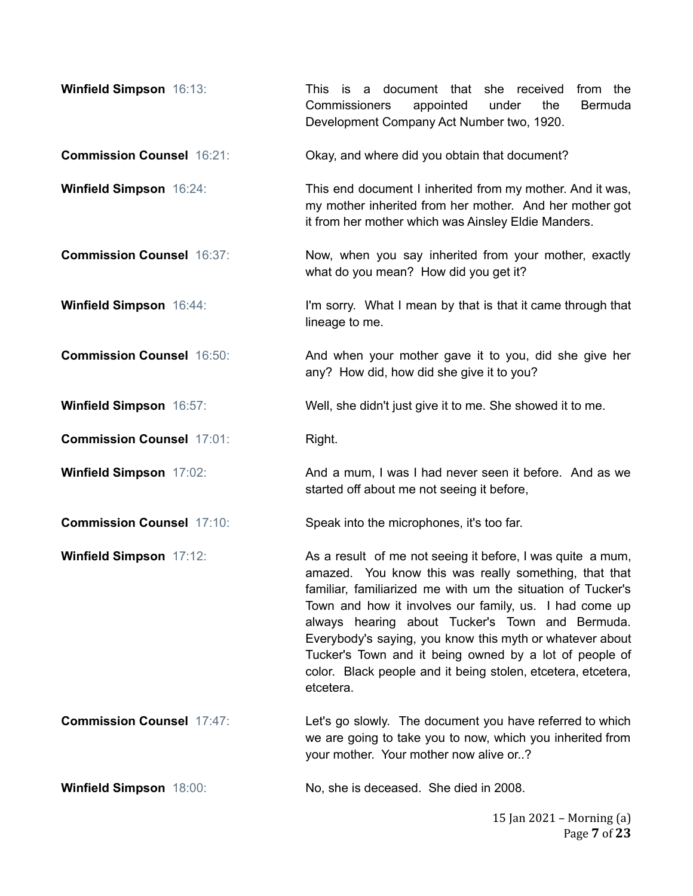| Winfield Simpson 16:13:          | This is a document that she received<br>from the<br>appointed<br>the<br><b>Commissioners</b><br>under<br>Bermuda<br>Development Company Act Number two, 1920.                                                                                                                                                                                                                                                                                                                                      |
|----------------------------------|----------------------------------------------------------------------------------------------------------------------------------------------------------------------------------------------------------------------------------------------------------------------------------------------------------------------------------------------------------------------------------------------------------------------------------------------------------------------------------------------------|
| <b>Commission Counsel 16:21:</b> | Okay, and where did you obtain that document?                                                                                                                                                                                                                                                                                                                                                                                                                                                      |
| <b>Winfield Simpson 16:24:</b>   | This end document I inherited from my mother. And it was,<br>my mother inherited from her mother. And her mother got<br>it from her mother which was Ainsley Eldie Manders.                                                                                                                                                                                                                                                                                                                        |
| <b>Commission Counsel 16:37:</b> | Now, when you say inherited from your mother, exactly<br>what do you mean? How did you get it?                                                                                                                                                                                                                                                                                                                                                                                                     |
| Winfield Simpson 16:44:          | I'm sorry. What I mean by that is that it came through that<br>lineage to me.                                                                                                                                                                                                                                                                                                                                                                                                                      |
| <b>Commission Counsel 16:50:</b> | And when your mother gave it to you, did she give her<br>any? How did, how did she give it to you?                                                                                                                                                                                                                                                                                                                                                                                                 |
| Winfield Simpson 16:57:          | Well, she didn't just give it to me. She showed it to me.                                                                                                                                                                                                                                                                                                                                                                                                                                          |
| <b>Commission Counsel 17:01:</b> | Right.                                                                                                                                                                                                                                                                                                                                                                                                                                                                                             |
| <b>Winfield Simpson 17:02:</b>   | And a mum, I was I had never seen it before. And as we<br>started off about me not seeing it before,                                                                                                                                                                                                                                                                                                                                                                                               |
| <b>Commission Counsel 17:10:</b> | Speak into the microphones, it's too far.                                                                                                                                                                                                                                                                                                                                                                                                                                                          |
| Winfield Simpson 17:12:          | As a result of me not seeing it before, I was quite a mum,<br>amazed. You know this was really something, that that<br>familiar, familiarized me with um the situation of Tucker's<br>Town and how it involves our family, us. I had come up<br>always hearing about Tucker's Town and Bermuda.<br>Everybody's saying, you know this myth or whatever about<br>Tucker's Town and it being owned by a lot of people of<br>color. Black people and it being stolen, etcetera, etcetera,<br>etcetera. |
| <b>Commission Counsel 17:47:</b> | Let's go slowly. The document you have referred to which<br>we are going to take you to now, which you inherited from<br>your mother. Your mother now alive or?                                                                                                                                                                                                                                                                                                                                    |
| <b>Winfield Simpson 18:00:</b>   | No, she is deceased. She died in 2008.                                                                                                                                                                                                                                                                                                                                                                                                                                                             |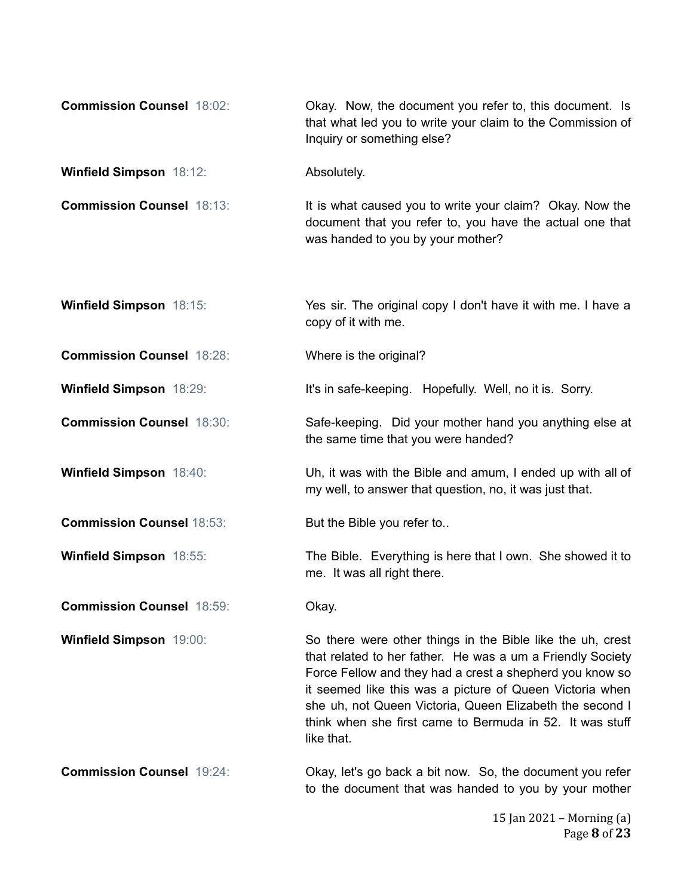| <b>Commission Counsel 18:02:</b> | Okay. Now, the document you refer to, this document. Is<br>that what led you to write your claim to the Commission of<br>Inquiry or something else?                                                                                                                                                                                                                                    |
|----------------------------------|----------------------------------------------------------------------------------------------------------------------------------------------------------------------------------------------------------------------------------------------------------------------------------------------------------------------------------------------------------------------------------------|
| <b>Winfield Simpson 18:12:</b>   | Absolutely.                                                                                                                                                                                                                                                                                                                                                                            |
| <b>Commission Counsel 18:13:</b> | It is what caused you to write your claim? Okay. Now the<br>document that you refer to, you have the actual one that<br>was handed to you by your mother?                                                                                                                                                                                                                              |
| <b>Winfield Simpson 18:15:</b>   | Yes sir. The original copy I don't have it with me. I have a<br>copy of it with me.                                                                                                                                                                                                                                                                                                    |
| <b>Commission Counsel 18:28:</b> | Where is the original?                                                                                                                                                                                                                                                                                                                                                                 |
| Winfield Simpson 18:29:          | It's in safe-keeping. Hopefully. Well, no it is. Sorry.                                                                                                                                                                                                                                                                                                                                |
| <b>Commission Counsel 18:30:</b> | Safe-keeping. Did your mother hand you anything else at<br>the same time that you were handed?                                                                                                                                                                                                                                                                                         |
| <b>Winfield Simpson 18:40:</b>   | Uh, it was with the Bible and amum, I ended up with all of<br>my well, to answer that question, no, it was just that.                                                                                                                                                                                                                                                                  |
| <b>Commission Counsel 18:53:</b> | But the Bible you refer to                                                                                                                                                                                                                                                                                                                                                             |
| Winfield Simpson 18:55:          | The Bible. Everything is here that I own. She showed it to<br>me. It was all right there.                                                                                                                                                                                                                                                                                              |
| <b>Commission Counsel 18:59:</b> | Okay.                                                                                                                                                                                                                                                                                                                                                                                  |
| Winfield Simpson 19:00:          | So there were other things in the Bible like the uh, crest<br>that related to her father. He was a um a Friendly Society<br>Force Fellow and they had a crest a shepherd you know so<br>it seemed like this was a picture of Queen Victoria when<br>she uh, not Queen Victoria, Queen Elizabeth the second I<br>think when she first came to Bermuda in 52. It was stuff<br>like that. |
| <b>Commission Counsel 19:24:</b> | Okay, let's go back a bit now. So, the document you refer<br>to the document that was handed to you by your mother                                                                                                                                                                                                                                                                     |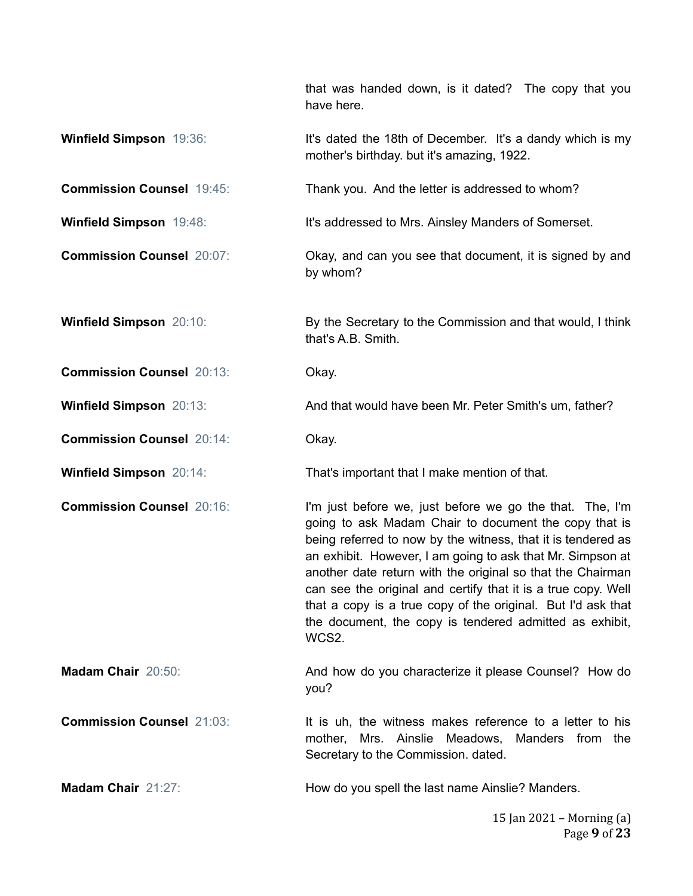that was handed down, is it dated? The copy that you have here.

- **Winfield Simpson** 19:36: It's dated the 18th of December. It's a dandy which is my mother's birthday. but it's amazing, 1922.
- **Commission Counsel** 19:45: Thank you. And the letter is addressed to whom?
- **Winfield Simpson** 19:48: It's addressed to Mrs. Ainsley Manders of Somerset.
- **Commission Counsel** 20:07: **Commission Counsel** 20:07: **Okay, and can you see that document, it is signed by and** by whom?
- **Winfield Simpson** 20:10: **By the Secretary to the Commission and that would, I think** that's A.B. Smith.
- **Commission Counsel** 20:13: Okay.
- **Winfield Simpson** 20:13: And that would have been Mr. Peter Smith's um, father?
- **Commission Counsel** 20:14: Okay.
- **Winfield Simpson** 20:14: That's important that I make mention of that.
- **Commission Counsel** 20:16: I'm just before we, just before we go the that. The, I'm going to ask Madam Chair to document the copy that is being referred to now by the witness, that it is tendered as an exhibit. However, I am going to ask that Mr. Simpson at another date return with the original so that the Chairman can see the original and certify that it is a true copy. Well that a copy is a true copy of the original. But I'd ask that the document, the copy is tendered admitted as exhibit, WCS<sub>2</sub>
- **Madam Chair** 20:50: **And how do you characterize it please Counsel?** How do **And how do** you characterize it please Counsel? How do you?
- **Commission Counsel** 21:03: It is uh, the witness makes reference to a letter to his mother, Mrs. Ainslie Meadows, Manders from the Secretary to the Commission. dated.
- **Madam Chair** 21:27: **How do you spell the last name Ainslie? Manders.**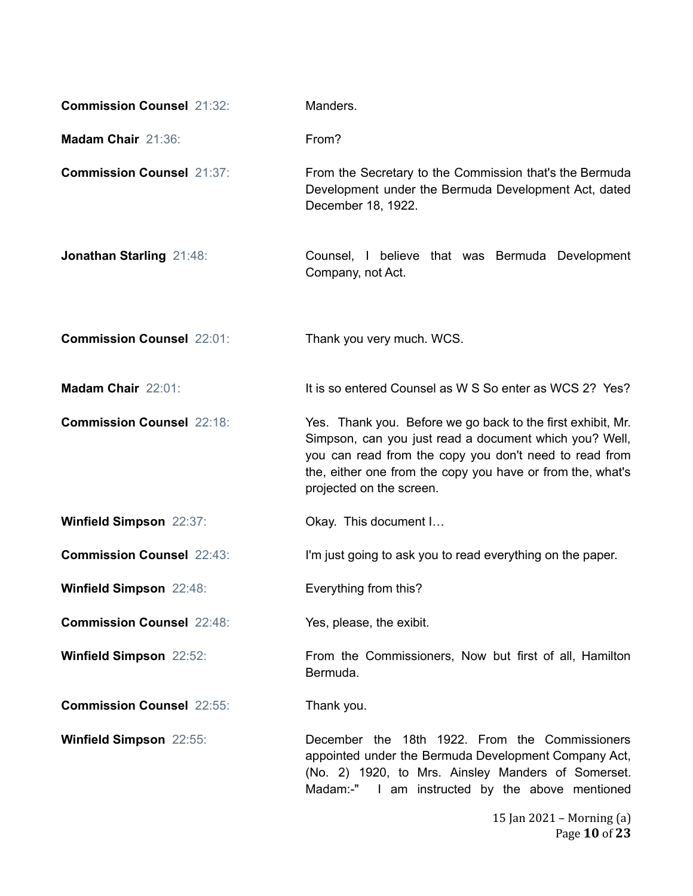| <b>Commission Counsel 21:32:</b> | Manders.                                                                                                                                                                                                                                                                  |
|----------------------------------|---------------------------------------------------------------------------------------------------------------------------------------------------------------------------------------------------------------------------------------------------------------------------|
| Madam Chair 21:36:               | From?                                                                                                                                                                                                                                                                     |
| <b>Commission Counsel 21:37:</b> | From the Secretary to the Commission that's the Bermuda<br>Development under the Bermuda Development Act, dated<br>December 18, 1922.                                                                                                                                     |
| Jonathan Starling 21:48:         | Counsel, I believe that was Bermuda Development<br>Company, not Act.                                                                                                                                                                                                      |
| <b>Commission Counsel 22:01:</b> | Thank you very much. WCS.                                                                                                                                                                                                                                                 |
| Madam Chair 22:01:               | It is so entered Counsel as W S So enter as WCS 2? Yes?                                                                                                                                                                                                                   |
| <b>Commission Counsel 22:18:</b> | Yes. Thank you. Before we go back to the first exhibit, Mr.<br>Simpson, can you just read a document which you? Well,<br>you can read from the copy you don't need to read from<br>the, either one from the copy you have or from the, what's<br>projected on the screen. |
| <b>Winfield Simpson 22:37:</b>   | Okay. This document I                                                                                                                                                                                                                                                     |
| <b>Commission Counsel 22:43:</b> | I'm just going to ask you to read everything on the paper.                                                                                                                                                                                                                |
| <b>Winfield Simpson 22:48:</b>   | Everything from this?                                                                                                                                                                                                                                                     |
| <b>Commission Counsel 22:48:</b> | Yes, please, the exibit.                                                                                                                                                                                                                                                  |
| <b>Winfield Simpson 22:52:</b>   | From the Commissioners, Now but first of all, Hamilton<br>Bermuda.                                                                                                                                                                                                        |
| <b>Commission Counsel 22:55:</b> | Thank you.                                                                                                                                                                                                                                                                |
| <b>Winfield Simpson 22:55:</b>   | December the 18th 1922. From the Commissioners<br>appointed under the Bermuda Development Company Act,<br>(No. 2) 1920, to Mrs. Ainsley Manders of Somerset.<br>Madam:-" I am instructed by the above mentioned                                                           |

15 Jan 2021 – Morning (a) Page **10** of **23**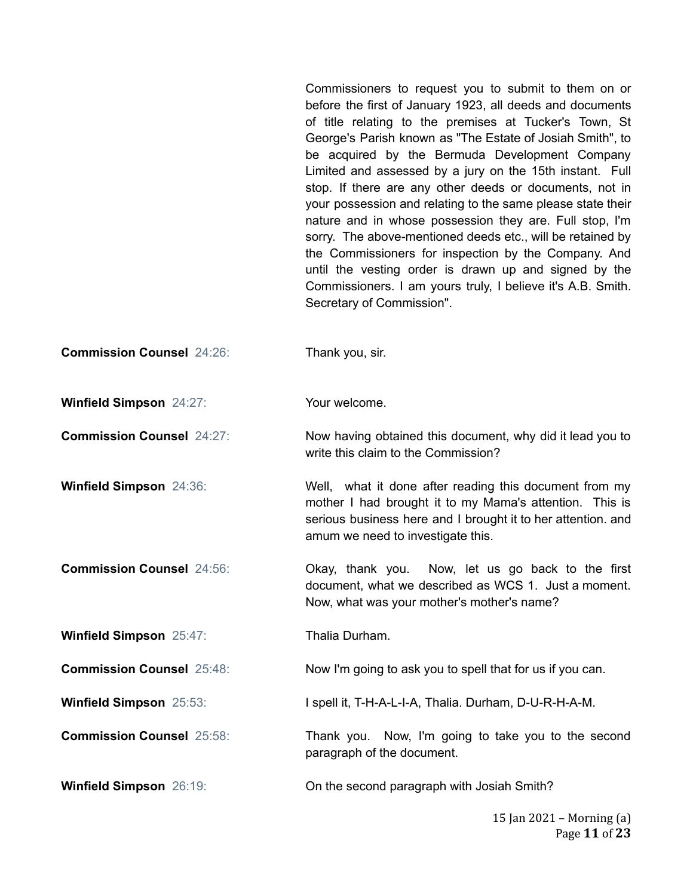Commissioners to request you to submit to them on or before the first of January 1923, all deeds and documents of title relating to the premises at Tucker's Town, St George's Parish known as "The Estate of Josiah Smith", to be acquired by the Bermuda Development Company Limited and assessed by a jury on the 15th instant. Full stop. If there are any other deeds or documents, not in your possession and relating to the same please state their nature and in whose possession they are. Full stop, I'm sorry. The above-mentioned deeds etc., will be retained by the Commissioners for inspection by the Company. And until the vesting order is drawn up and signed by the Commissioners. I am yours truly, I believe it's A.B. Smith. Secretary of Commission".

**Commission Counsel** 24:26: Thank you, sir.

**Winfield Simpson** 24:27: Your welcome.

**Commission Counsel** 24:27: Now having obtained this document, why did it lead you to write this claim to the Commission?

**Winfield Simpson** 24:36: Well, what it done after reading this document from my mother I had brought it to my Mama's attention. This is serious business here and I brought it to her attention. and amum we need to investigate this.

**Commission Counsel** 24:56: Okay, thank you. Now, let us go back to the first document, what we described as WCS 1. Just a moment. Now, what was your mother's mother's name?

**Winfield Simpson** 25:47: Thalia Durham.

**Commission Counsel** 25:48: Now I'm going to ask you to spell that for us if you can.

**Winfield Simpson** 25:53: I spell it, T-H-A-L-I-A, Thalia. Durham, D-U-R-H-A-M.

**Commission Counsel** 25:58: Thank you. Now, I'm going to take you to the second paragraph of the document.

**Winfield Simpson** 26:19: **On the second paragraph with Josiah Smith?**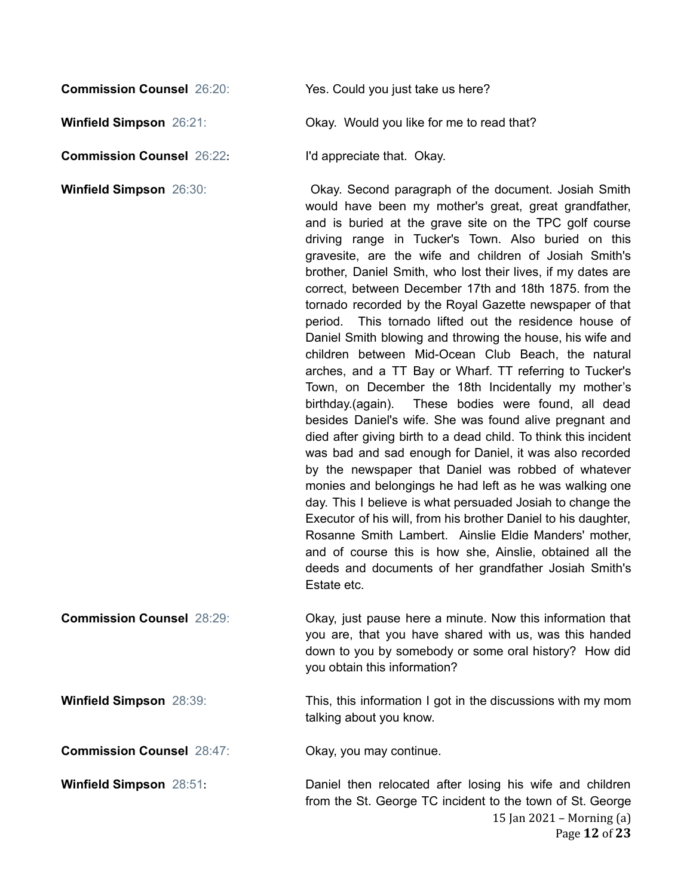**Winfield Simpson**  $26:21$ : **Okay. Would you like for me to read that?** 

**Commission Counsel** 26:22: I'd appreciate that. Okay.

**Winfield Simpson** 26:30: **Okay. Second paragraph of the document. Josiah Smith** would have been my mother's great, great grandfather, and is buried at the grave site on the TPC golf course driving range in Tucker's Town. Also buried on this gravesite, are the wife and children of Josiah Smith's brother, Daniel Smith, who lost their lives, if my dates are correct, between December 17th and 18th 1875. from the tornado recorded by the Royal Gazette newspaper of that period. This tornado lifted out the residence house of Daniel Smith blowing and throwing the house, his wife and children between Mid-Ocean Club Beach, the natural arches, and a TT Bay or Wharf. TT referring to Tucker's Town, on December the 18th Incidentally my mother's birthday.(again). These bodies were found, all dead besides Daniel's wife. She was found alive pregnant and died after giving birth to a dead child. To think this incident was bad and sad enough for Daniel, it was also recorded by the newspaper that Daniel was robbed of whatever monies and belongings he had left as he was walking one day. This I believe is what persuaded Josiah to change the Executor of his will, from his brother Daniel to his daughter, Rosanne Smith Lambert. Ainslie Eldie Manders' mother, and of course this is how she, Ainslie, obtained all the deeds and documents of her grandfather Josiah Smith's Estate etc.

**Commission Counsel** 28:29: **Commission Counsel** 28:29: **Okay, just pause here a minute. Now this information that** you are, that you have shared with us, was this handed down to you by somebody or some oral history? How did you obtain this information?

**Winfield Simpson** 28:39: This, this information I got in the discussions with my mom talking about you know.

**Commission Counsel** 28:47: Okay, you may continue.

**Winfield Simpson** 28:51: Daniel then relocated after losing his wife and children from the St. George TC incident to the town of St. George

> 15 Jan 2021 – Morning (a) Page **12** of **23**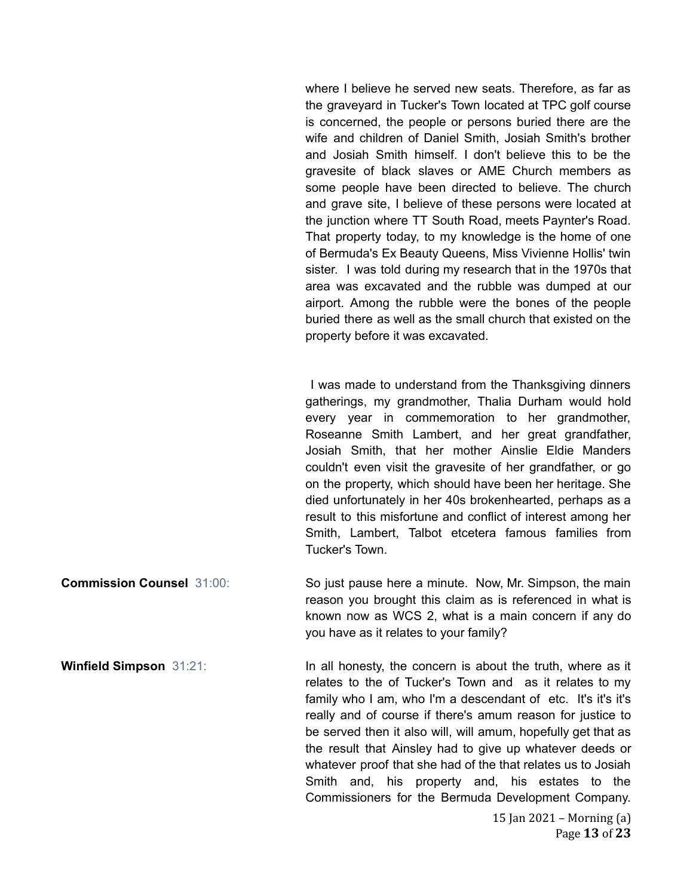where I believe he served new seats. Therefore, as far as the graveyard in Tucker's Town located at TPC golf course is concerned, the people or persons buried there are the wife and children of Daniel Smith, Josiah Smith's brother and Josiah Smith himself. I don't believe this to be the gravesite of black slaves or AME Church members as some people have been directed to believe. The church and grave site, I believe of these persons were located at the junction where TT South Road, meets Paynter's Road. That property today, to my knowledge is the home of one of Bermuda's Ex Beauty Queens, Miss Vivienne Hollis' twin sister. I was told during my research that in the 1970s that area was excavated and the rubble was dumped at our airport. Among the rubble were the bones of the people buried there as well as the small church that existed on the property before it was excavated.

I was made to understand from the Thanksgiving dinners gatherings, my grandmother, Thalia Durham would hold every year in commemoration to her grandmother, Roseanne Smith Lambert, and her great grandfather, Josiah Smith, that her mother Ainslie Eldie Manders couldn't even visit the gravesite of her grandfather, or go on the property, which should have been her heritage. She died unfortunately in her 40s brokenhearted, perhaps as a result to this misfortune and conflict of interest among her Smith, Lambert, Talbot etcetera famous families from Tucker's Town.

**Commission Counsel** 31:00: So just pause here a minute. Now, Mr. Simpson, the main reason you brought this claim as is referenced in what is known now as WCS 2, what is a main concern if any do you have as it relates to your family?

**Winfield Simpson** 31:21: **In all honesty, the concern is about the truth, where as it** relates to the of Tucker's Town and as it relates to my family who I am, who I'm a descendant of etc. It's it's it's really and of course if there's amum reason for justice to be served then it also will, will amum, hopefully get that as the result that Ainsley had to give up whatever deeds or whatever proof that she had of the that relates us to Josiah Smith and, his property and, his estates to the Commissioners for the Bermuda Development Company.

> 15 Jan 2021 – Morning  $(a)$ Page **13** of **23**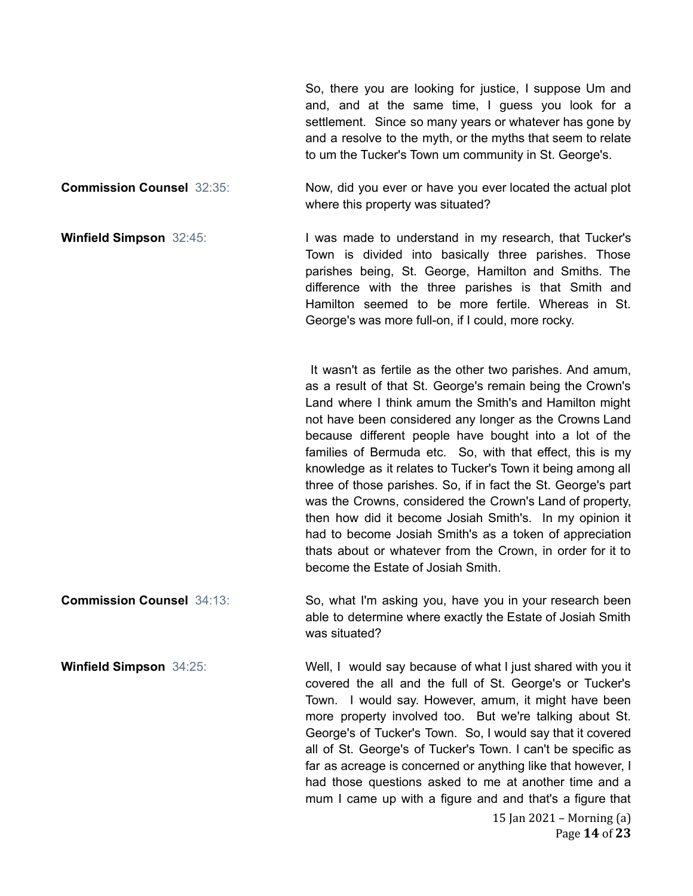So, there you are looking for justice, I suppose Um and and, and at the same time, I guess you look for a settlement. Since so many years or whatever has gone by and a resolve to the myth, or the myths that seem to relate to um the Tucker's Town um community in St. George's.

**Commission Counsel** 32:35: Now, did you ever or have you ever located the actual plot where this property was situated?

**Winfield Simpson** 32:45: **I** was made to understand in my research, that Tucker's Town is divided into basically three parishes. Those parishes being, St. George, Hamilton and Smiths. The difference with the three parishes is that Smith and Hamilton seemed to be more fertile. Whereas in St. George's was more full-on, if I could, more rocky.

> It wasn't as fertile as the other two parishes. And amum, as a result of that St. George's remain being the Crown's Land where I think amum the Smith's and Hamilton might not have been considered any longer as the Crowns Land because different people have bought into a lot of the families of Bermuda etc. So, with that effect, this is my knowledge as it relates to Tucker's Town it being among all three of those parishes. So, if in fact the St. George's part was the Crowns, considered the Crown's Land of property, then how did it become Josiah Smith's. In my opinion it had to become Josiah Smith's as a token of appreciation thats about or whatever from the Crown, in order for it to become the Estate of Josiah Smith.

**Commission Counsel** 34:13: So, what I'm asking you, have you in your research been able to determine where exactly the Estate of Josiah Smith was situated?

**Winfield Simpson** 34:25: Well, I would say because of what I just shared with you it covered the all and the full of St. George's or Tucker's Town. I would say. However, amum, it might have been more property involved too. But we're talking about St. George's of Tucker's Town. So, I would say that it covered all of St. George's of Tucker's Town. I can't be specific as far as acreage is concerned or anything like that however, I had those questions asked to me at another time and a mum I came up with a figure and and that's a figure that

> 15 Jan 2021 – Morning (a) Page **14** of **23**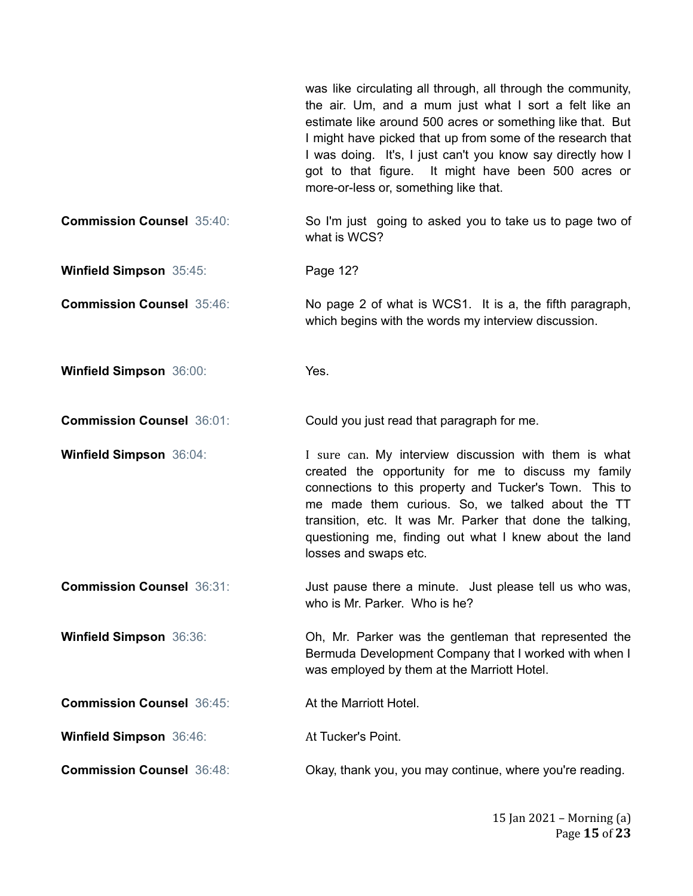was like circulating all through, all through the community, the air. Um, and a mum just what I sort a felt like an estimate like around 500 acres or something like that. But I might have picked that up from some of the research that I was doing. It's, I just can't you know say directly how I got to that figure. It might have been 500 acres or more-or-less or, something like that. **Commission Counsel** 35:40: So I'm just going to asked you to take us to page two of what is WCS? **Winfield Simpson** 35:45: Page 12? **Commission Counsel** 35:46: No page 2 of what is WCS1. It is a, the fifth paragraph, which begins with the words my interview discussion. **Winfield Simpson** 36:00: Yes. **Commission Counsel** 36:01: Could you just read that paragraph for me. **Winfield Simpson** 36:04: **I** sure can. My interview discussion with them is what created the opportunity for me to discuss my family connections to this property and Tucker's Town. This to me made them curious. So, we talked about the TT transition, etc. It was Mr. Parker that done the talking, questioning me, finding out what I knew about the land losses and swaps etc. **Commission Counsel** 36:31: Just pause there a minute. Just please tell us who was, who is Mr. Parker. Who is he? **Winfield Simpson** 36:36: **Oh, Mr. Parker was the gentleman that represented the** Bermuda Development Company that I worked with when I was employed by them at the Marriott Hotel. **Commission Counsel** 36:45: At the Marriott Hotel. **Winfield Simpson** 36:46: At Tucker's Point. **Commission Counsel** 36:48: Commission Counsel 36:48: Commission Counsel 36:48: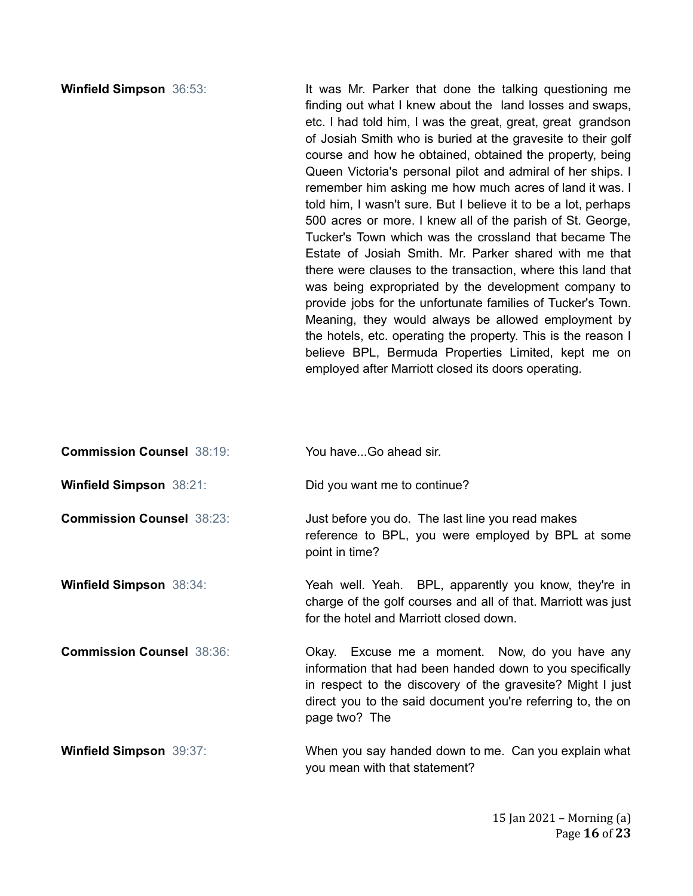**Winfield Simpson** 36:53: It was Mr. Parker that done the talking questioning me finding out what I knew about the land losses and swaps, etc. I had told him, I was the great, great, great grandson of Josiah Smith who is buried at the gravesite to their golf course and how he obtained, obtained the property, being Queen Victoria's personal pilot and admiral of her ships. I remember him asking me how much acres of land it was. I told him, I wasn't sure. But I believe it to be a lot, perhaps 500 acres or more. I knew all of the parish of St. George, Tucker's Town which was the crossland that became The Estate of Josiah Smith. Mr. Parker shared with me that there were clauses to the transaction, where this land that was being expropriated by the development company to provide jobs for the unfortunate families of Tucker's Town. Meaning, they would always be allowed employment by the hotels, etc. operating the property. This is the reason I believe BPL, Bermuda Properties Limited, kept me on employed after Marriott closed its doors operating.

| <b>Commission Counsel 38:19:</b> | You haveGo ahead sir. |
|----------------------------------|-----------------------|
|----------------------------------|-----------------------|

**Winfield Simpson** 38:21: Did you want me to continue?

**Commission Counsel** 38:23: Just before you do. The last line you read makes reference to BPL, you were employed by BPL at some point in time?

**Winfield Simpson** 38:34: Yeah well. Yeah. BPL, apparently you know, they're in charge of the golf courses and all of that. Marriott was just for the hotel and Marriott closed down.

**Commission Counsel** 38:36: **Commission Counsel** 38:36: **Commission Counsel** 38:36: information that had been handed down to you specifically in respect to the discovery of the gravesite? Might I just direct you to the said document you're referring to, the on page two? The

**Winfield Simpson** 39:37: When you say handed down to me. Can you explain what you mean with that statement?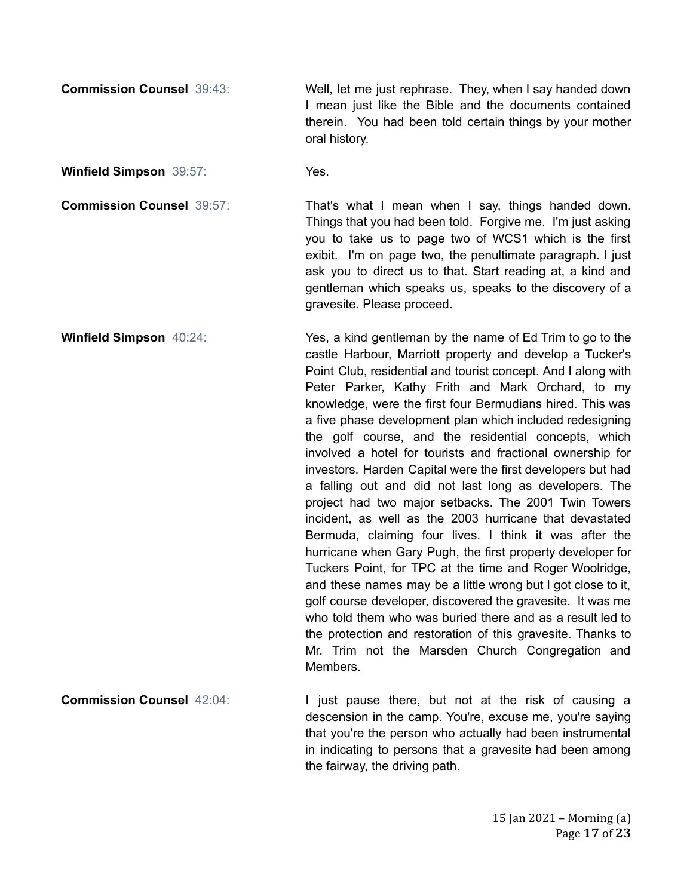**Commission Counsel** 39:43: Well, let me just rephrase. They, when I say handed down I mean just like the Bible and the documents contained therein. You had been told certain things by your mother oral history.

**Winfield Simpson** 39:57: Yes.

**Commission Counsel** 39:57: That's what I mean when I say, things handed down. Things that you had been told. Forgive me. I'm just asking you to take us to page two of WCS1 which is the first exibit. I'm on page two, the penultimate paragraph. I just ask you to direct us to that. Start reading at, a kind and gentleman which speaks us, speaks to the discovery of a gravesite. Please proceed.

**Winfield Simpson** 40:24: Yes, a kind gentleman by the name of Ed Trim to go to the castle Harbour, Marriott property and develop a Tucker's Point Club, residential and tourist concept. And I along with Peter Parker, Kathy Frith and Mark Orchard, to my knowledge, were the first four Bermudians hired. This was a five phase development plan which included redesigning the golf course, and the residential concepts, which involved a hotel for tourists and fractional ownership for investors. Harden Capital were the first developers but had a falling out and did not last long as developers. The project had two major setbacks. The 2001 Twin Towers incident, as well as the 2003 hurricane that devastated Bermuda, claiming four lives. I think it was after the hurricane when Gary Pugh, the first property developer for Tuckers Point, for TPC at the time and Roger Woolridge, and these names may be a little wrong but I got close to it, golf course developer, discovered the gravesite. It was me who told them who was buried there and as a result led to the protection and restoration of this gravesite. Thanks to Mr. Trim not the Marsden Church Congregation and Members.

**Commission Counsel** 42:04: **I** just pause there, but not at the risk of causing a descension in the camp. You're, excuse me, you're saying that you're the person who actually had been instrumental in indicating to persons that a gravesite had been among the fairway, the driving path.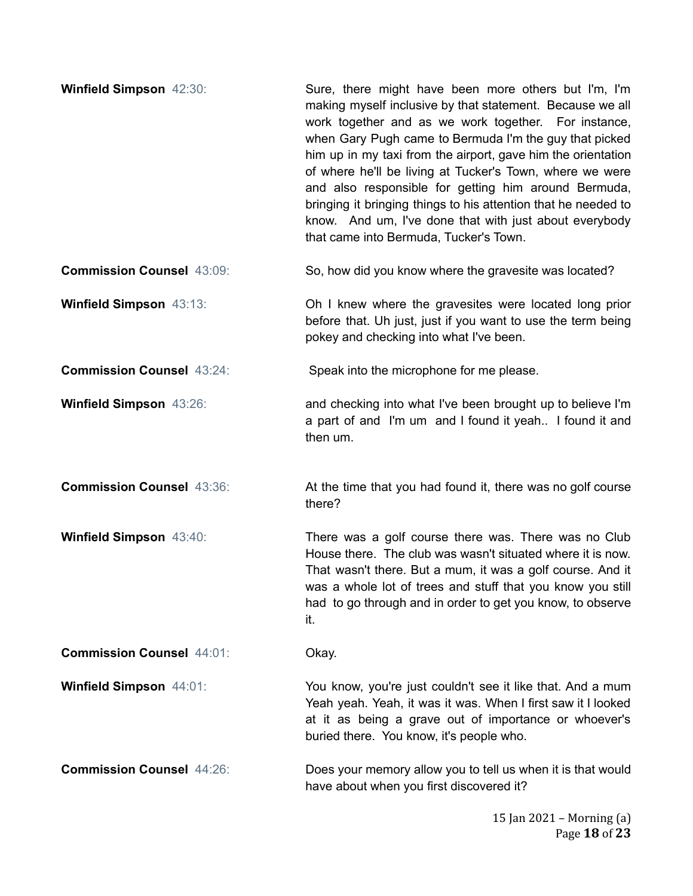| <b>Winfield Simpson 42:30:</b>   | Sure, there might have been more others but I'm, I'm<br>making myself inclusive by that statement. Because we all<br>work together and as we work together. For instance,<br>when Gary Pugh came to Bermuda I'm the guy that picked<br>him up in my taxi from the airport, gave him the orientation<br>of where he'll be living at Tucker's Town, where we were<br>and also responsible for getting him around Bermuda,<br>bringing it bringing things to his attention that he needed to<br>know. And um, I've done that with just about everybody<br>that came into Bermuda, Tucker's Town. |
|----------------------------------|-----------------------------------------------------------------------------------------------------------------------------------------------------------------------------------------------------------------------------------------------------------------------------------------------------------------------------------------------------------------------------------------------------------------------------------------------------------------------------------------------------------------------------------------------------------------------------------------------|
| <b>Commission Counsel 43:09:</b> | So, how did you know where the gravesite was located?                                                                                                                                                                                                                                                                                                                                                                                                                                                                                                                                         |
| Winfield Simpson 43:13:          | Oh I knew where the gravesites were located long prior<br>before that. Uh just, just if you want to use the term being<br>pokey and checking into what I've been.                                                                                                                                                                                                                                                                                                                                                                                                                             |
| <b>Commission Counsel 43:24:</b> | Speak into the microphone for me please.                                                                                                                                                                                                                                                                                                                                                                                                                                                                                                                                                      |
| Winfield Simpson 43:26:          | and checking into what I've been brought up to believe I'm<br>a part of and I'm um and I found it yeah I found it and<br>then um.                                                                                                                                                                                                                                                                                                                                                                                                                                                             |
| <b>Commission Counsel 43:36:</b> | At the time that you had found it, there was no golf course<br>there?                                                                                                                                                                                                                                                                                                                                                                                                                                                                                                                         |
| Winfield Simpson 43:40:          | There was a golf course there was. There was no Club<br>House there. The club was wasn't situated where it is now.<br>That wasn't there. But a mum, it was a golf course. And it<br>was a whole lot of trees and stuff that you know you still<br>had to go through and in order to get you know, to observe<br>it.                                                                                                                                                                                                                                                                           |
| <b>Commission Counsel 44:01:</b> | Okay.                                                                                                                                                                                                                                                                                                                                                                                                                                                                                                                                                                                         |
| <b>Winfield Simpson 44:01:</b>   | You know, you're just couldn't see it like that. And a mum<br>Yeah yeah. Yeah, it was it was. When I first saw it I looked<br>at it as being a grave out of importance or whoever's<br>buried there. You know, it's people who.                                                                                                                                                                                                                                                                                                                                                               |
| <b>Commission Counsel 44:26:</b> | Does your memory allow you to tell us when it is that would<br>have about when you first discovered it?                                                                                                                                                                                                                                                                                                                                                                                                                                                                                       |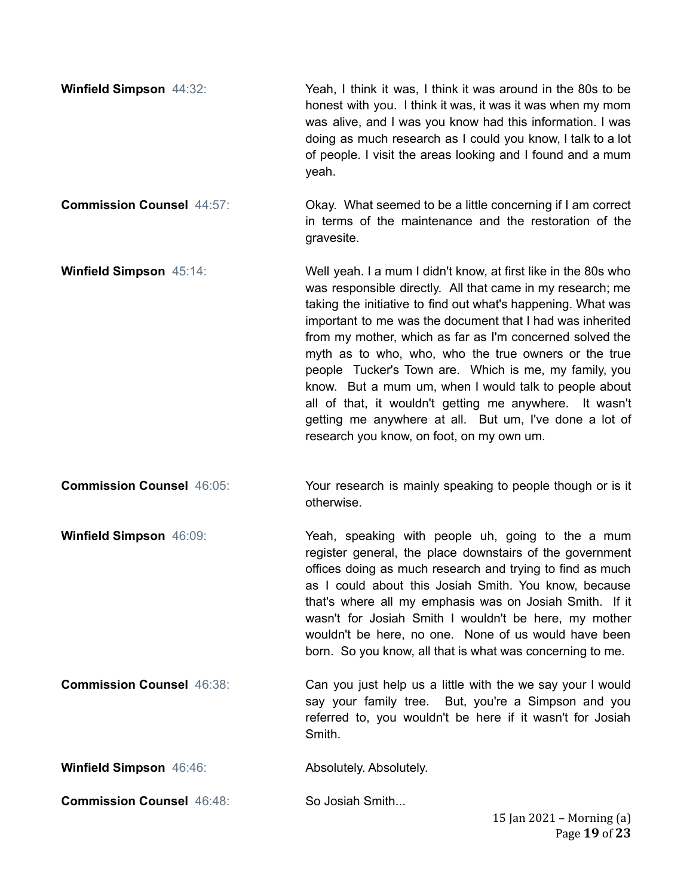- **Winfield Simpson** 44:32: Yeah, I think it was, I think it was around in the 80s to be honest with you. I think it was, it was it was when my mom was alive, and I was you know had this information. I was doing as much research as I could you know, I talk to a lot of people. I visit the areas looking and I found and a mum yeah.
- **Commission Counsel** 44:57: Commission Counsel 44:57: Commission Counsel 44:57: in terms of the maintenance and the restoration of the gravesite.
- **Winfield Simpson** 45:14: Well yeah. I a mum I didn't know, at first like in the 80s who was responsible directly. All that came in my research; me taking the initiative to find out what's happening. What was important to me was the document that I had was inherited from my mother, which as far as I'm concerned solved the myth as to who, who, who the true owners or the true people Tucker's Town are. Which is me, my family, you know. But a mum um, when I would talk to people about all of that, it wouldn't getting me anywhere. It wasn't getting me anywhere at all. But um, I've done a lot of research you know, on foot, on my own um.
- **Commission Counsel** 46:05: Your research is mainly speaking to people though or is it otherwise.
- **Winfield Simpson** 46:09: **Yeah, speaking with people uh, going to the a mum** register general, the place downstairs of the government offices doing as much research and trying to find as much as I could about this Josiah Smith. You know, because that's where all my emphasis was on Josiah Smith. If it wasn't for Josiah Smith I wouldn't be here, my mother wouldn't be here, no one. None of us would have been born. So you know, all that is what was concerning to me.
- **Commission Counsel** 46:38: Can you just help us a little with the we say your I would say your family tree. But, you're a Simpson and you referred to, you wouldn't be here if it wasn't for Josiah Smith.
- **Winfield Simpson** 46:46: **Absolutely. Absolutely.**
- **Commission Counsel** 46:48: So Josiah Smith...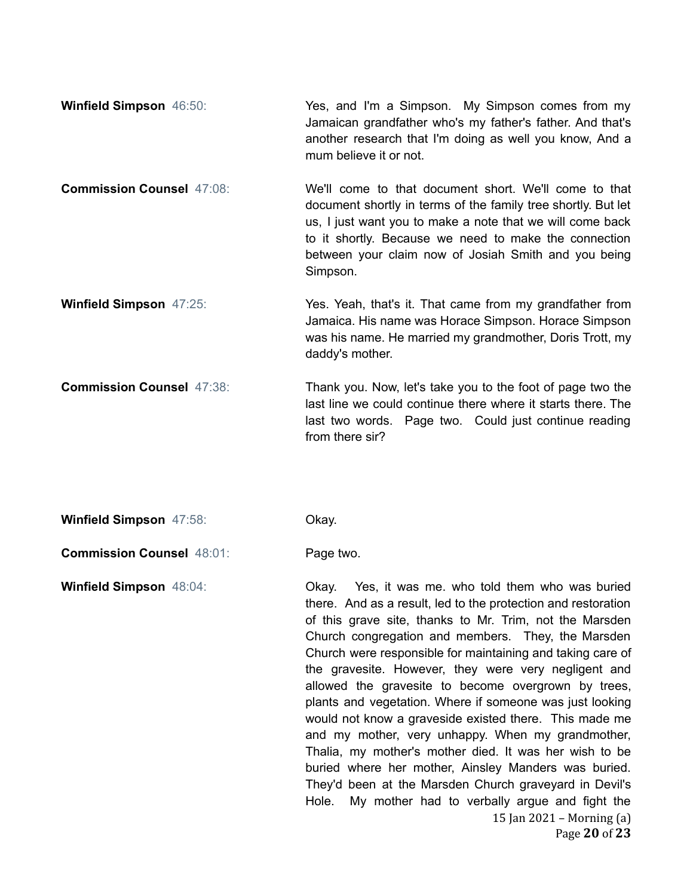| <b>Winfield Simpson 46:50:</b> | Yes, and I'm a Simpson. My Simpson comes from my          |
|--------------------------------|-----------------------------------------------------------|
|                                | Jamaican grandfather who's my father's father. And that's |
|                                | another research that I'm doing as well you know, And a   |
|                                | mum believe it or not.                                    |

- **Commission Counsel** 47:08: We'll come to that document short. We'll come to that document shortly in terms of the family tree shortly. But let us, I just want you to make a note that we will come back to it shortly. Because we need to make the connection between your claim now of Josiah Smith and you being Simpson.
- **Winfield Simpson** 47:25: Yes. Yeah, that's it. That came from my grandfather from Jamaica. His name was Horace Simpson. Horace Simpson was his name. He married my grandmother, Doris Trott, my daddy's mother.
- **Commission Counsel** 47:38: Thank you. Now, let's take you to the foot of page two the last line we could continue there where it starts there. The last two words. Page two. Could just continue reading from there sir?
- **Winfield Simpson** 47:58: Okay.
- **Commission Counsel** 48:01: Page two.

**Winfield Simpson** 48:04: Okay. Yes, it was me. who told them who was buried there. And as a result, led to the protection and restoration of this grave site, thanks to Mr. Trim, not the Marsden Church congregation and members. They, the Marsden Church were responsible for maintaining and taking care of the gravesite. However, they were very negligent and allowed the gravesite to become overgrown by trees, plants and vegetation. Where if someone was just looking would not know a graveside existed there. This made me and my mother, very unhappy. When my grandmother, Thalia, my mother's mother died. It was her wish to be buried where her mother, Ainsley Manders was buried. They'd been at the Marsden Church graveyard in Devil's Hole. My mother had to verbally argue and fight the 15 Jan 2021 – Morning (a) Page **20** of **23**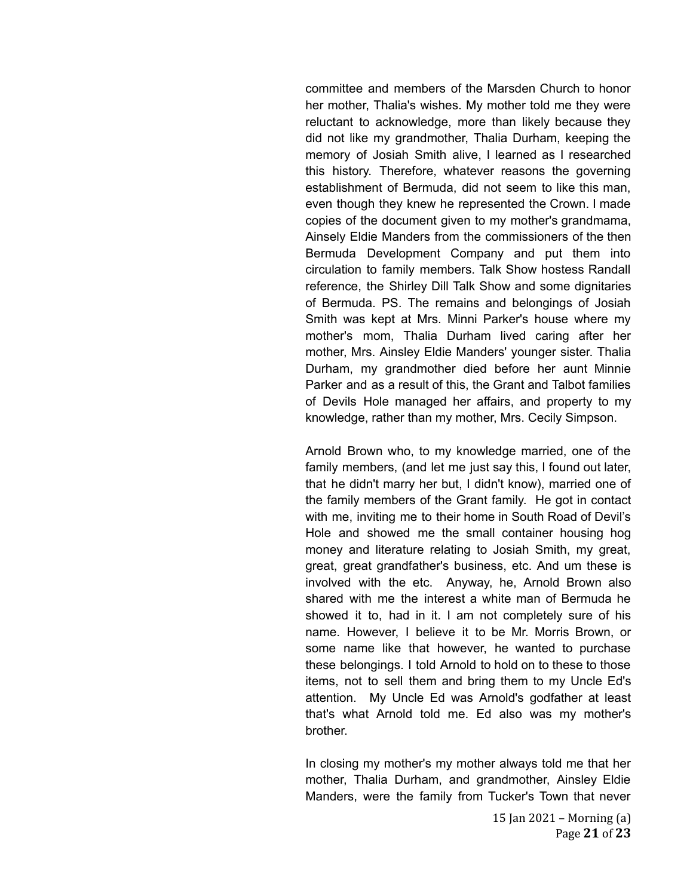committee and members of the Marsden Church to honor her mother, Thalia's wishes. My mother told me they were reluctant to acknowledge, more than likely because they did not like my grandmother, Thalia Durham, keeping the memory of Josiah Smith alive, I learned as I researched this history. Therefore, whatever reasons the governing establishment of Bermuda, did not seem to like this man, even though they knew he represented the Crown. I made copies of the document given to my mother's grandmama, Ainsely Eldie Manders from the commissioners of the then Bermuda Development Company and put them into circulation to family members. Talk Show hostess Randall reference, the Shirley Dill Talk Show and some dignitaries of Bermuda. PS. The remains and belongings of Josiah Smith was kept at Mrs. Minni Parker's house where my mother's mom, Thalia Durham lived caring after her mother, Mrs. Ainsley Eldie Manders' younger sister. Thalia Durham, my grandmother died before her aunt Minnie Parker and as a result of this, the Grant and Talbot families of Devils Hole managed her affairs, and property to my knowledge, rather than my mother, Mrs. Cecily Simpson.

Arnold Brown who, to my knowledge married, one of the family members, (and let me just say this, I found out later, that he didn't marry her but, I didn't know), married one of the family members of the Grant family. He got in contact with me, inviting me to their home in South Road of Devil's Hole and showed me the small container housing hog money and literature relating to Josiah Smith, my great, great, great grandfather's business, etc. And um these is involved with the etc. Anyway, he, Arnold Brown also shared with me the interest a white man of Bermuda he showed it to, had in it. I am not completely sure of his name. However, I believe it to be Mr. Morris Brown, or some name like that however, he wanted to purchase these belongings. I told Arnold to hold on to these to those items, not to sell them and bring them to my Uncle Ed's attention. My Uncle Ed was Arnold's godfather at least that's what Arnold told me. Ed also was my mother's brother.

In closing my mother's my mother always told me that her mother, Thalia Durham, and grandmother, Ainsley Eldie Manders, were the family from Tucker's Town that never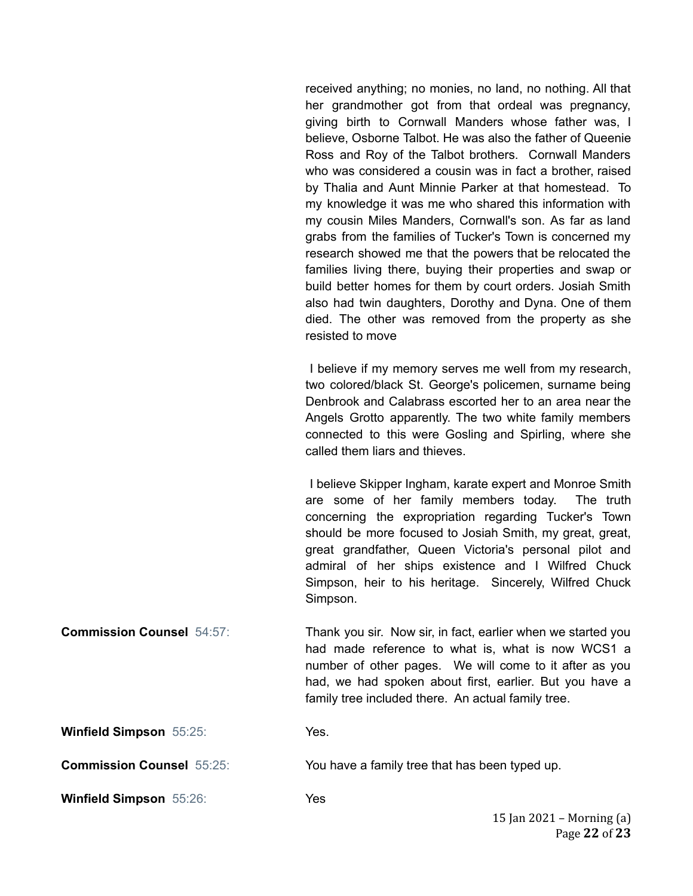received anything; no monies, no land, no nothing. All that her grandmother got from that ordeal was pregnancy, giving birth to Cornwall Manders whose father was, I believe, Osborne Talbot. He was also the father of Queenie Ross and Roy of the Talbot brothers. Cornwall Manders who was considered a cousin was in fact a brother, raised by Thalia and Aunt Minnie Parker at that homestead. To my knowledge it was me who shared this information with my cousin Miles Manders, Cornwall's son. As far as land grabs from the families of Tucker's Town is concerned my research showed me that the powers that be relocated the families living there, buying their properties and swap or build better homes for them by court orders. Josiah Smith also had twin daughters, Dorothy and Dyna. One of them died. The other was removed from the property as she resisted to move

I believe if my memory serves me well from my research, two colored/black St. George's policemen, surname being Denbrook and Calabrass escorted her to an area near the Angels Grotto apparently. The two white family members connected to this were Gosling and Spirling, where she called them liars and thieves.

I believe Skipper Ingham, karate expert and Monroe Smith are some of her family members today. The truth concerning the expropriation regarding Tucker's Town should be more focused to Josiah Smith, my great, great, great grandfather, Queen Victoria's personal pilot and admiral of her ships existence and I Wilfred Chuck Simpson, heir to his heritage. Sincerely, Wilfred Chuck Simpson.

**Commission Counsel** 54:57: Thank you sir. Now sir, in fact, earlier when we started you had made reference to what is, what is now WCS1 a number of other pages. We will come to it after as you had, we had spoken about first, earlier. But you have a family tree included there. An actual family tree.

**Winfield Simpson** 55:25: Yes.

**Commission Counsel** 55:25: You have a family tree that has been typed up.

**Winfield Simpson** 55:26: Yes